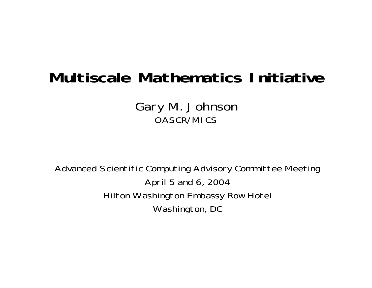## **Multiscale Mathematics Initiative**

Gary M. Johnson OASCR/MICS

Advanced Scientific Computing Advisory Committee Meeting April 5 and 6, 2004 Hilton Washington Embassy Row Hotel Washington, DC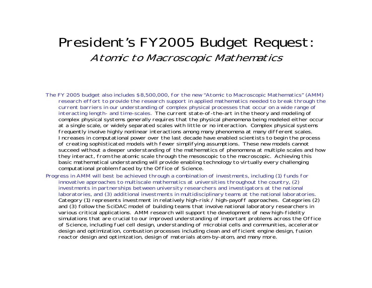### President's FY2005 Budget Request: Atomic to Macroscopic Mathematics

- The FY 2005 budget also includes \$8,500,000, for the new "Atomic to Macroscopic Mathematics" (AMM) research effort to provide the research support in applied mathematics needed to break through the current barriers in our understanding of complex physical processes that occur on a wide range of interacting length- and time-scales. The current state-of-the-art in the theory and modeling of complex physical systems generally requires that the physical phenomena being modeled either occur at a single scale, or widely separated scales with little or no interaction. Complex physical systems frequently involve highly nonlinear interactions among many phenomena at many different scales. Increases in computational power over the last decade have enabled scientists to begin the process of creating sophisticated models with fewer simplifying assumptions. These new models cannot succeed without a deeper understanding of the mathematics of phenomena at multiple scales and how they interact, from the atomic scale through the mesoscopic to the macroscopic. Achieving this basic mathematical understanding will provide enabling technology to virtually every challenging computational problem faced by the Office of Science.
- Progress in AMM will best be achieved through a combination of investments, including (1) funds for innovative approaches to multiscale mathematics at universities throughout the country, (2) investments in partnerships between university researchers and investigators at the national laboratories, and (3) additional investments in multidisciplinary teams at the national laboratories. Category (1) represents investment in relatively high-risk / high-payoff approaches. Categories (2) and (3) follow the SciDAC model of building teams that involve national laboratory researchers in various critical applications. AMM research will support the development of new high-fidelity simulations that are crucial to our improved understanding of important problems across the Office of Science, including fuel cell design, understanding of microbial cells and communities, accelerator design and optimization, combustion processes including clean and efficient engine design, fusion reactor design and optimization, design of materials atom-by-atom, and many more.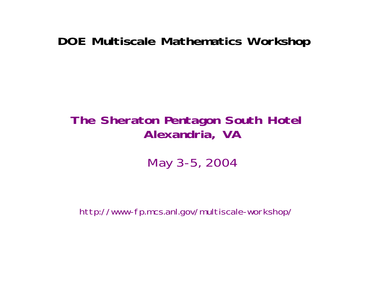#### **DOE Multiscale Mathematics Workshop**

### **The Sheraton Pentagon South Hotel Alexandria, VA**

May 3-5, 2004

http://www-fp.mcs.anl.gov/multiscale-workshop/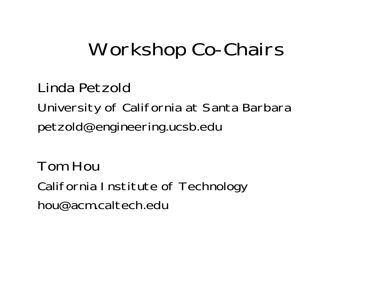# Workshop Co-Chairs

Linda Petzold

University of California at Santa Barbara petzold@engineering.ucsb.edu

Tom HouCalifornia Institute of Technology hou@acm.caltech.edu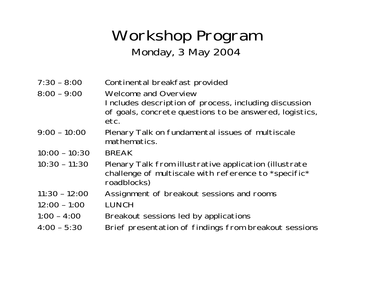## Workshop Program Monday, 3 May 2004

| $7:30 - 8:00$   | Continental breakfast provided                                                                                                |
|-----------------|-------------------------------------------------------------------------------------------------------------------------------|
| $8:00 - 9:00$   | <b>Welcome and Overview</b>                                                                                                   |
|                 | Includes description of process, including discussion<br>of goals, concrete questions to be answered, logistics,<br>etc.      |
| $9:00 - 10:00$  | Plenary Talk on fundamental issues of multiscale<br>mathematics.                                                              |
| $10:00 - 10:30$ | <b>BREAK</b>                                                                                                                  |
| $10:30 - 11:30$ | Plenary Talk from illustrative application (illustrate<br>challenge of multiscale with reference to *specific*<br>roadblocks) |
| $11:30 - 12:00$ | Assignment of breakout sessions and rooms                                                                                     |
| $12:00 - 1:00$  | <b>LUNCH</b>                                                                                                                  |
| $1:00 - 4:00$   | Breakout sessions led by applications                                                                                         |
| $4:00 - 5:30$   | Brief presentation of findings from breakout sessions                                                                         |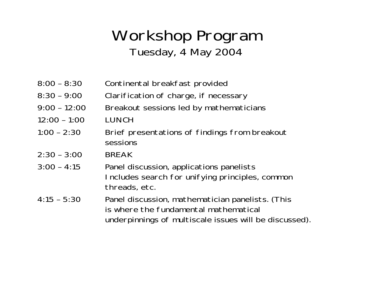## Workshop Program Tuesday, 4 May 2004

- 8:00 8:30 Continental breakfast provided
- 8:30 9:00 Clarification of charge, if necessary
- 9:00 12:00 Breakout sessions led by mathematicians
- 12:00 1:00 LUNCH
- 1:00 2:30 Brief presentations of findings from breakout sessions
- 2:30 3:00 BREAK
- 3:00 4:15 Panel discussion, applications panelists Includes search for unifying principles, common threads, etc.
- 4:15 5:30 Panel discussion, mathematician panelists. (This is where the fundamental mathematical underpinnings of multiscale issues will be discussed).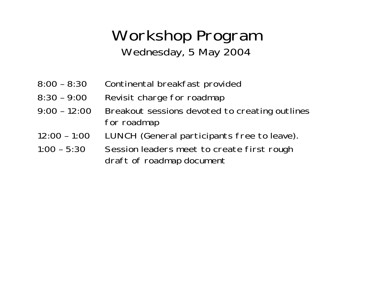## Workshop Program Wednesday, 5 May 2004

- 8:00 8:30 Continental breakfast provided
- 8:30 9:00 Revisit charge for roadmap
- 9:00 12:00 Breakout sessions devoted to creating outlines for roadmap
- 12:00 1:00 LUNCH (General participants free to leave).
- 1:00 5:30 Session leaders meet to create first rough draft of roadmap document